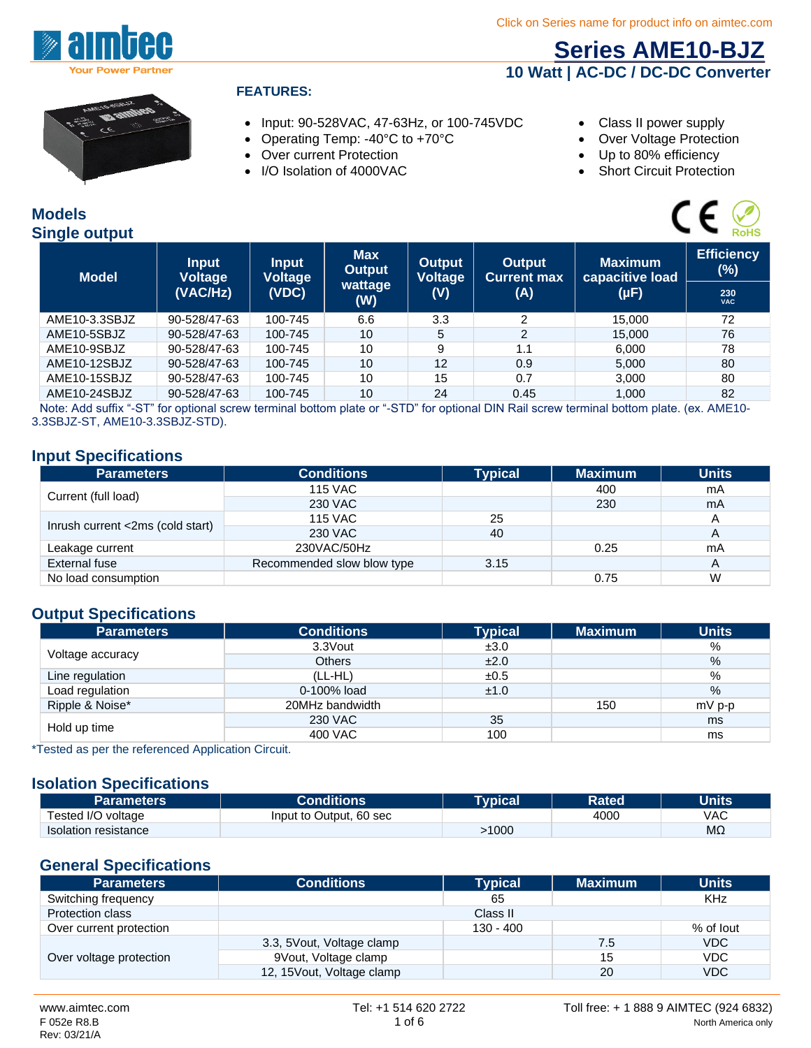

### **[Series AME10-BJZ](http://www.aimtec.com/ame10-bjz) 10 Watt | AC-DC / DC-DC Converter**



#### **FEATURES:**

- Input: 90-528VAC, 47-63Hz, or 100-745VDC Class II power supply
- Operating Temp: -40°C to +70°C Contraction Over Voltage Protection
- Over current Protection
- I/O Isolation of 4000VAC
- 
- 
- Up to 80% efficiency
- Short Circuit Protection

#### **Models Single output**

| odels<br>ingle output |                                |                                |                             |                   |                              |                                   | <b>RoHS</b>                 |
|-----------------------|--------------------------------|--------------------------------|-----------------------------|-------------------|------------------------------|-----------------------------------|-----------------------------|
| <b>Model</b>          | <b>Input</b><br><b>Voltage</b> | <b>Input</b><br><b>Voltage</b> | <b>Max</b><br><b>Output</b> | Output<br>Voltage | Output<br><b>Current max</b> | <b>Maximum</b><br>capacitive load | <b>Efficiency</b><br>$(\%)$ |
|                       | (VAC/Hz)                       | (VDC)                          | wattage<br>(W)              | (V)               | (A)                          | $(\mu F)$                         | 230<br><b>VAC</b>           |
| AME10-3.3SBJZ         | 90-528/47-63                   | 100-745                        | 6.6                         | 3.3               | $\mathcal{P}$                | 15.000                            | 72                          |
| AME10-5SBJZ           | 90-528/47-63                   | 100-745                        | 10                          | 5                 | $\overline{2}$               | 15,000                            | 76                          |
| AME10-9SBJZ           | 90-528/47-63                   | 100-745                        | 10                          | 9                 | 1.1                          | 6.000                             | 78                          |
| AME10-12SBJZ          | 90-528/47-63                   | 100-745                        | 10                          | 12                | 0.9                          | 5.000                             | 80                          |
| AME10-15SBJZ          | 90-528/47-63                   | 100-745                        | 10                          | 15                | 0.7                          | 3.000                             | 80                          |
| AME10-24SBJZ          | 90-528/47-63                   | 100-745                        | 10                          | 24                | 0.45                         | 1.000                             | 82                          |

Note: Add suffix "-ST" for optional screw terminal bottom plate or "-STD" for optional DIN Rail screw terminal bottom plate. (ex. AME10- 3.3SBJZ-ST, AME10-3.3SBJZ-STD).

#### **Input Specifications**

| <b>Parameters</b>                | <b>Conditions</b>          | <b>Typical</b> | <b>Maximum</b> | <b>Units</b> |
|----------------------------------|----------------------------|----------------|----------------|--------------|
|                                  | <b>115 VAC</b>             |                | 400            | mA           |
| Current (full load)              | 230 VAC                    |                | 230            | mA           |
|                                  | 115 VAC                    | 25             |                |              |
| Inrush current <2ms (cold start) | 230 VAC                    | 40             |                | A            |
| Leakage current                  | 230VAC/50Hz                |                | 0.25           | mA           |
| External fuse                    | Recommended slow blow type | 3.15           |                | A            |
| No load consumption              |                            |                | 0.75           | W            |

#### **Output Specifications**

| <b>Parameters</b> | <b>Conditions</b> | <b>Typical</b> | <b>Maximum</b> | <b>Units</b> |
|-------------------|-------------------|----------------|----------------|--------------|
|                   | 3.3Vout           | ±3.0           |                | %            |
| Voltage accuracy  | <b>Others</b>     | ±2.0           |                | $\%$         |
| Line regulation   | $(LL-HL)$         | ±0.5           |                | %            |
| Load regulation   | 0-100% load       | ±1.0           |                | $\%$         |
| Ripple & Noise*   | 20MHz bandwidth   |                | 150            | $mV$ p-p     |
| Hold up time      | 230 VAC           | 35             |                | ms           |
|                   | 400 VAC           | 100            |                | ms           |

\*Tested as per the referenced Application Circuit.

#### **Isolation Specifications**

| <b>Parameters</b>           | <b>Conditions</b>       | Tvpical\ | <b>Rated</b> | <b>Units</b> |
|-----------------------------|-------------------------|----------|--------------|--------------|
| Tested I/O voltage          | Input to Output, 60 sec |          | 4000         | VAC          |
| <b>Isolation resistance</b> |                         | 1000ء    |              | MΩ           |

#### **General Specifications**

| <b>Parameters</b>       | <b>Conditions</b>          | <b>Typical</b> | <b>Maximum</b> | <b>Units</b> |
|-------------------------|----------------------------|----------------|----------------|--------------|
| Switching frequency     |                            | 65             |                | KHz          |
| <b>Protection class</b> |                            | Class II       |                |              |
| Over current protection |                            | $130 - 400$    |                | % of lout    |
| Over voltage protection | 3.3, 5 Vout, Voltage clamp |                | 7.5            | VDC          |
|                         | 9Vout, Voltage clamp       |                | 15             | VDC          |
|                         | 12, 15 Vout, Voltage clamp |                | 20             | <b>VDC</b>   |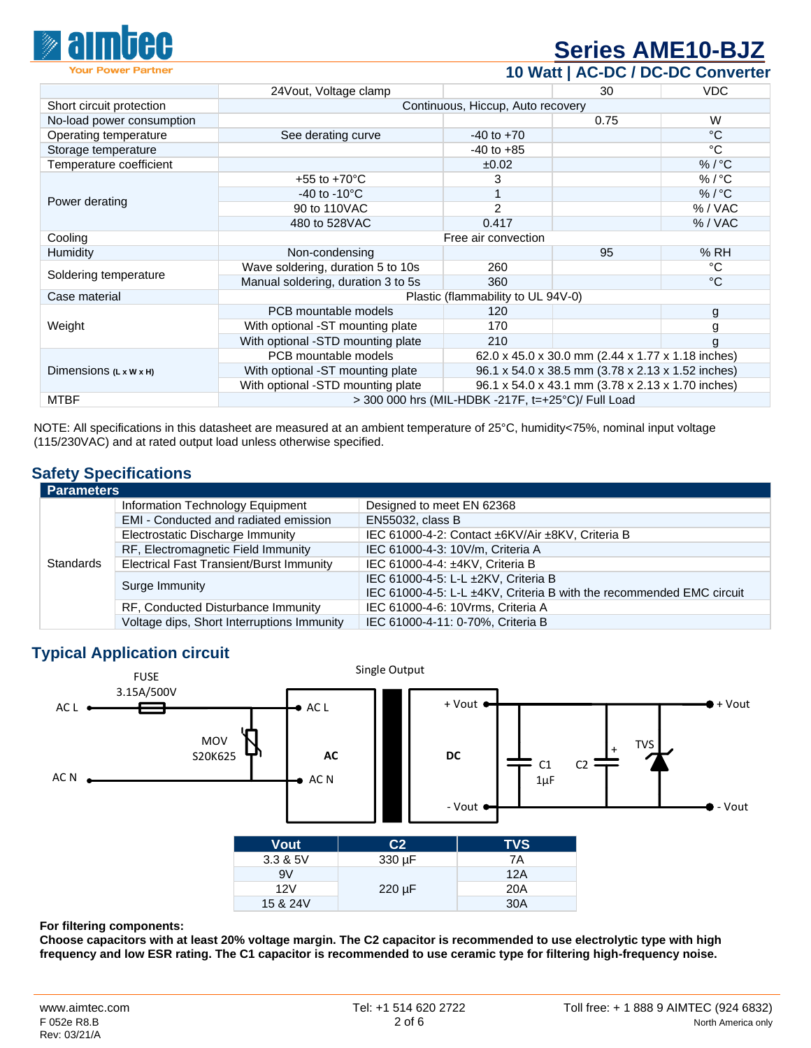

## **[Series AME10-BJZ](http://www.aimtec.com/ame10-bjz)**

| <b>Your Power Partner</b>          |                                                    |                                   |                                                   | 10 Watt   AC-DC / DC-DC Converter |
|------------------------------------|----------------------------------------------------|-----------------------------------|---------------------------------------------------|-----------------------------------|
|                                    | 24 Vout, Voltage clamp                             |                                   | 30                                                | <b>VDC</b>                        |
| Short circuit protection           |                                                    | Continuous, Hiccup, Auto recovery |                                                   |                                   |
| No-load power consumption          |                                                    |                                   | 0.75                                              | W                                 |
| Operating temperature              | See derating curve                                 | $-40$ to $+70$                    |                                                   | $^{\circ}C$                       |
| Storage temperature                |                                                    | $-40$ to $+85$                    |                                                   | °C                                |
| Temperature coefficient            |                                                    | ±0.02                             |                                                   | $%$ / $°C$                        |
|                                    | +55 to +70 $^{\circ}$ C                            |                                   |                                                   | $\%$ / $^{\circ}$ C               |
| Power derating                     | -40 to -10 $\mathrm{^{\circ}C}$                    |                                   |                                                   | $%$ / $^{\circ}$ C                |
|                                    | 90 to 110VAC                                       | 2                                 |                                                   | % / VAC                           |
|                                    | 480 to 528VAC                                      | 0.417                             |                                                   | % / VAC                           |
| Cooling                            |                                                    | Free air convection               |                                                   |                                   |
| <b>Humidity</b>                    | Non-condensing                                     |                                   | 95                                                | %RH                               |
| Soldering temperature              | Wave soldering, duration 5 to 10s                  | 260                               |                                                   | °C                                |
|                                    | Manual soldering, duration 3 to 5s                 | 360                               |                                                   | $^{\circ}C$                       |
| Case material                      | Plastic (flammability to UL 94V-0)                 |                                   |                                                   |                                   |
|                                    | PCB mountable models                               | 120                               |                                                   | g                                 |
| Weight                             | With optional -ST mounting plate                   | 170                               |                                                   | g                                 |
|                                    | With optional -STD mounting plate                  | 210                               |                                                   |                                   |
| Dimensions $(L \times W \times H)$ | PCB mountable models                               |                                   | 62.0 x 45.0 x 30.0 mm (2.44 x 1.77 x 1.18 inches) |                                   |
|                                    | With optional -ST mounting plate                   |                                   | 96.1 x 54.0 x 38.5 mm (3.78 x 2.13 x 1.52 inches) |                                   |
|                                    | With optional -STD mounting plate                  |                                   | 96.1 x 54.0 x 43.1 mm (3.78 x 2.13 x 1.70 inches) |                                   |
| <b>MTBF</b>                        | > 300 000 hrs (MIL-HDBK -217F, t=+25°C)/ Full Load |                                   |                                                   |                                   |

NOTE: All specifications in this datasheet are measured at an ambient temperature of 25°C, humidity<75%, nominal input voltage (115/230VAC) and at rated output load unless otherwise specified.

#### **Safety Specifications**

| <b>Parameters</b> |                                                 |                                                                      |
|-------------------|-------------------------------------------------|----------------------------------------------------------------------|
|                   | Information Technology Equipment                | Designed to meet EN 62368                                            |
|                   | EMI - Conducted and radiated emission           | EN55032, class B                                                     |
|                   | Electrostatic Discharge Immunity                | IEC 61000-4-2: Contact ±6KV/Air ±8KV, Criteria B                     |
|                   | RF, Electromagnetic Field Immunity              | IEC 61000-4-3: 10V/m, Criteria A                                     |
| <b>Standards</b>  | <b>Electrical Fast Transient/Burst Immunity</b> | IEC 61000-4-4: ±4KV, Criteria B                                      |
|                   | Surge Immunity                                  | IEC 61000-4-5: L-L ±2KV, Criteria B                                  |
|                   |                                                 | IEC 61000-4-5: L-L ±4KV, Criteria B with the recommended EMC circuit |
|                   | RF, Conducted Disturbance Immunity              | IEC 61000-4-6: 10Vrms, Criteria A                                    |
|                   | Voltage dips, Short Interruptions Immunity      | IEC 61000-4-11: 0-70%, Criteria B                                    |

#### **Typical Application circuit**



#### **For filtering components:**

**Choose capacitors with at least 20% voltage margin. The C2 capacitor is recommended to use electrolytic type with high frequency and low ESR rating. The C1 capacitor is recommended to use ceramic type for filtering high-frequency noise.**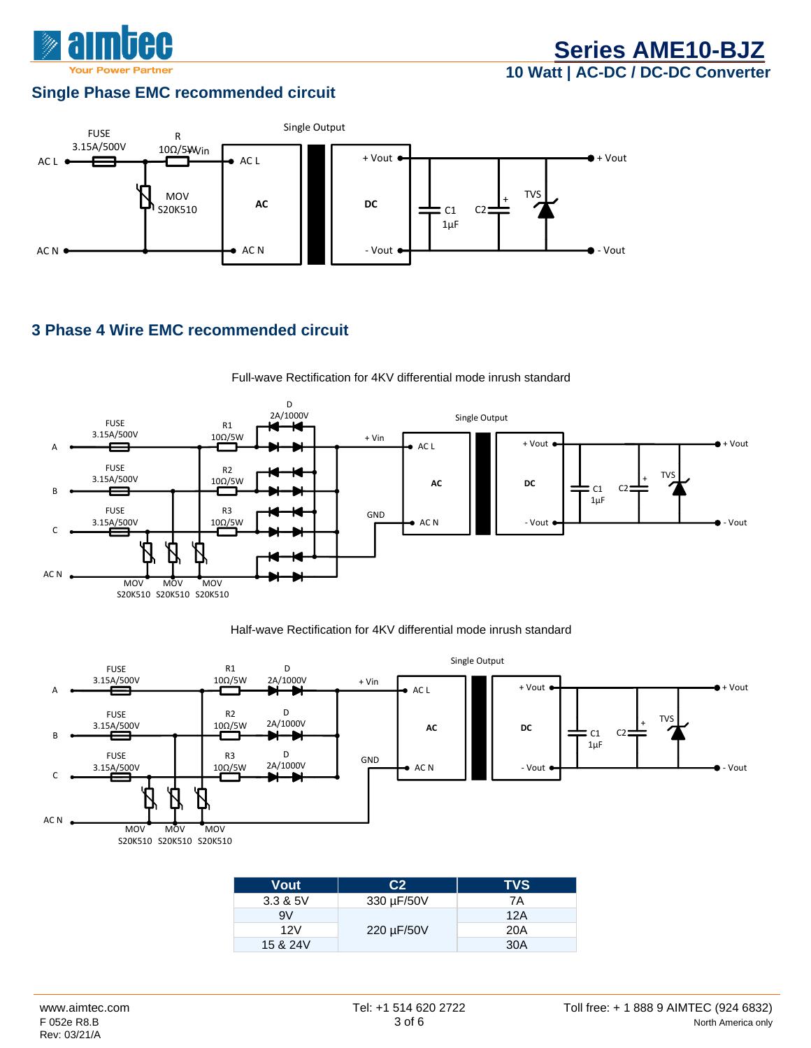

#### **Single Phase EMC recommended circuit**



#### **3 Phase 4 Wire EMC recommended circuit**



Full-wave Rectification for 4KV differential mode inrush standard

#### Half-wave Rectification for 4KV differential mode inrush standard



| Vout     | C <sub>2</sub> | <b>TVS</b> |
|----------|----------------|------------|
| 3.3 & 5V | 330 µF/50V     | 7A         |
| 9V       |                | 12A        |
| 12V      | 220 µF/50V     | 20A        |
| 15 & 24V |                | 30A        |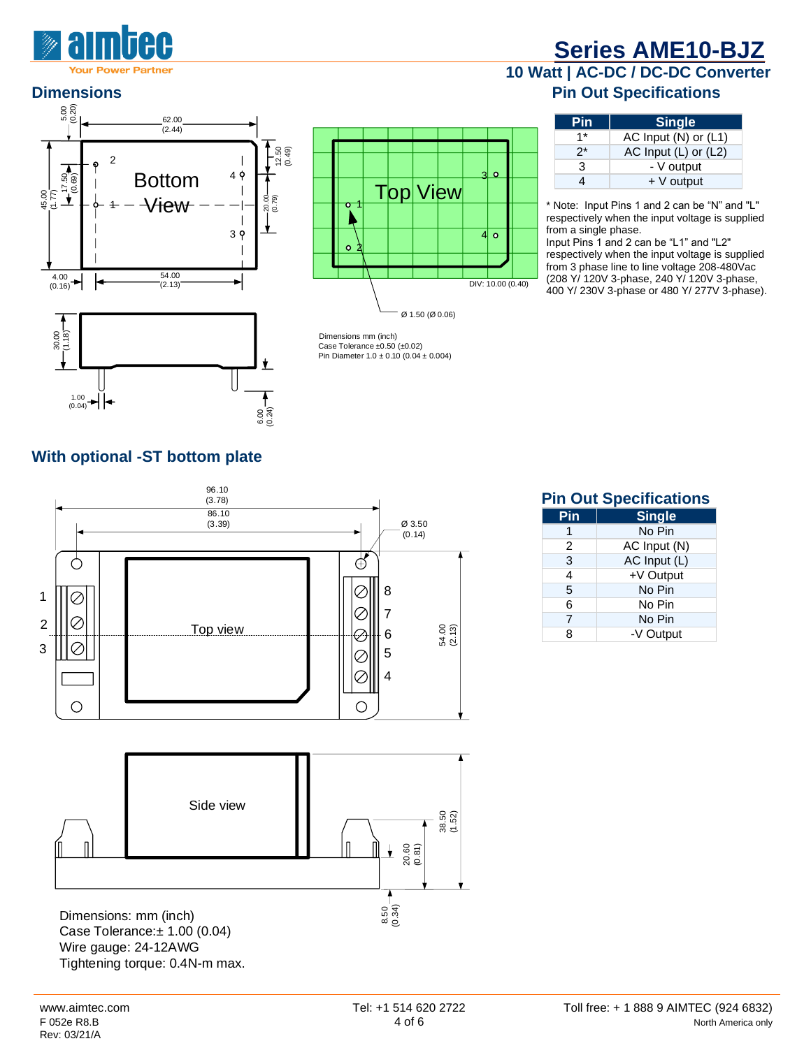

# **[Series AME10-BJZ](http://www.aimtec.com/ame10-bjz)**







#### **10 Watt | AC-DC / DC-DC Converter Dimensions Dimensions Pin Out Specifications**

| Pin  | <b>Single</b>            |
|------|--------------------------|
| $1*$ | AC Input (N) or (L1)     |
| 2*   | AC Input $(L)$ or $(L2)$ |
| 3    | - V output               |
|      | $+V$ output              |

\* Note:Input Pins 1 and 2 can be "N" and "L" respectively when the input voltage is supplied from a single phase.

Input Pins 1 and 2 can be "L1" and "L2" respectively when the input voltage is supplied from 3 phase line to line voltage 208-480Vac (208 Y/ 120V 3-phase, 240 Y/ 120V 3-phase, 400 Y/ 230V 3-phase or 480 Y/ 277V 3-phase).

#### **With optional -ST bottom plate**



**Pin Out Specifications**

| Pin | <b>Single</b> |
|-----|---------------|
|     | No Pin        |
| 2   | AC Input (N)  |
| 3   | AC Input (L)  |
| 4   | +V Output     |
| 5   | No Pin        |
| 6   | No Pin        |
| 7   | No Pin        |
| ጸ   | -V Output     |

Tightening torque: 0.4N-m max.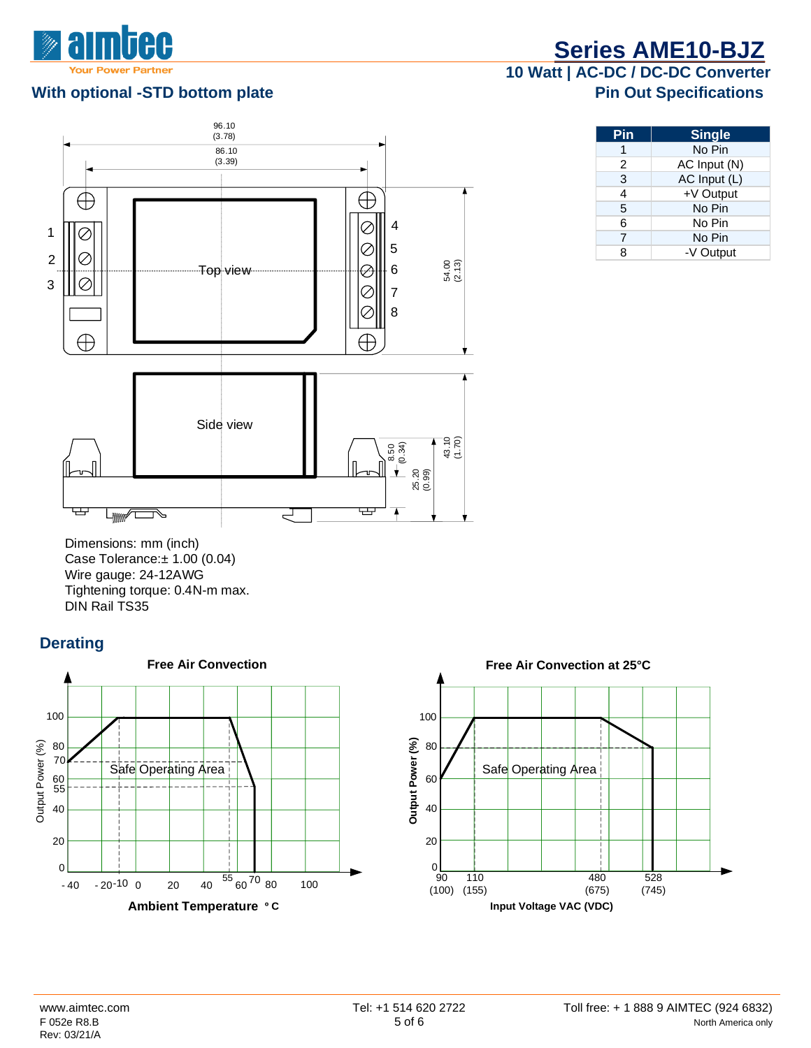

#### **With optional -STD bottom plate Access 20 and 20 and 20 and 20 and 20 and 20 and 20 and 20 and 20 and 20 and 20 and 20 and 20 and 20 and 20 and 20 and 20 and 20 and 20 and 20 and 20 and 20 and 20 and 20 and 20 and 20 and**



**[Series AME10-BJZ](http://www.aimtec.com/ame10-bjz)**

# **10 Watt | AC-DC / DC-DC Converter**

| Pin | <b>Single</b> |
|-----|---------------|
| 1   | No Pin        |
| 2   | AC Input (N)  |
| 3   | AC Input (L)  |
| 4   | +V Output     |
| 5   | No Pin        |
| 6   | No Pin        |
| 7   | No Pin        |
| 8   | -V Output     |

Dimensions: mm (inch) Case Tolerance:± 1.00 (0.04) Wire gauge: 24-12AWG Tightening torque: 0.4N-m max. DIN Rail TS35

#### **Derating**





**Input Voltage VAC (VDC)**

480 (675)

90 (100) (155) 110

0

 $528$ (745)